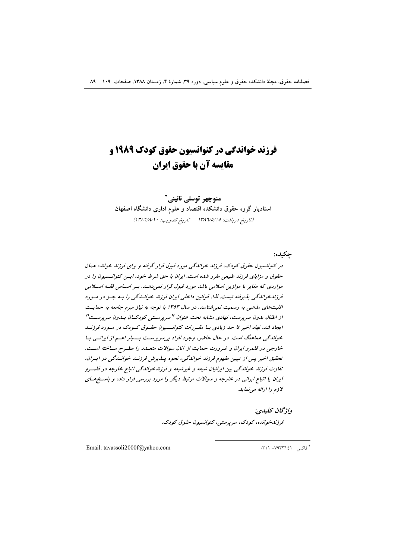# **فرزند خواندگی در کنوانسیون حقوق کودک ۱۹۸۹ و** مقايسه آن يا حقوق ايران

منوچهر توسلي نائيني\* استادیار گروه حقوق دانشکده اقتصاد و علوم اداری دانشگاه اصفهان (تاريخ دريافت: ١٣٨٦/٥/١٥ - تاريخ تصويب: ١٣٨٦/٨/١٠)

جكبده:

در کنوانسیون حقوق کودک، فرزند خواندگی مورد قبول قرار گرفته و برای فرزند خوانده همان حقوق و مزایای فرزند طبیعی مقرر شده است. ایران با حق شرط خود، ایسن کنوانسسیون را در مواردی که مغایر با موازین اسلامی باشد مورد قبول قرار نمیدهـد. بـر اسـاس فقـه اسـلامی قرزندخواندگی پذیرفته نیست. لذا، قوانین داخلی ایران فرزند خوانسدگی را بـه جـز در مـورد اقلیتهای مذهبی به رسمیت نمی شناسد. در سال ۱۳۵۳ با توجه به نیاز مبرم جامعه به حمایت از اطفال بدون سرپرست، نهادی مشابه تحت عنوان "سرپرستی کودکسان بسدون سرپرست" ایجاد شد. نهاد اخیر تا حد زیادی بـا مقـررات کنوانــسیون حقـوق کـودک در مـورد فرزنــد خواندگی ممامنگ است. در حال حاضر، وجود افراد بی سرپرست بسیار اعم از ایرانسی یا خارجی در قلمرو ایران و ضرورت حمایت از آنان سوالات متعلدد را مطـرح سـاخته اسـت. تحقیق اخیر پس از تبیین مفهوم فرزند خواندگی، نحوه پیذیرش فرزنید خوانیدگی در ایپران، تفاوت فرزند خواندگی بین ایرانیان شیعه و غیرشیعه و فرزندخواندگی اتباع خارجه در قلمت ایران یا اتباع ایرانی در خارجه و سوالات مرتبط دیگر را مورد بررسی قرار داده و پاسخهای لازم را ارائه می نماید.

> واژگان كليدي: قرزنلىخوانلىق كودك، سرپرستى، كنوانسيون حقوق كودك.

Email: tavassoli2000f@yahoo.com

\* فاکس: ۷۹۳۳۱٤۱- ۰۳۱۱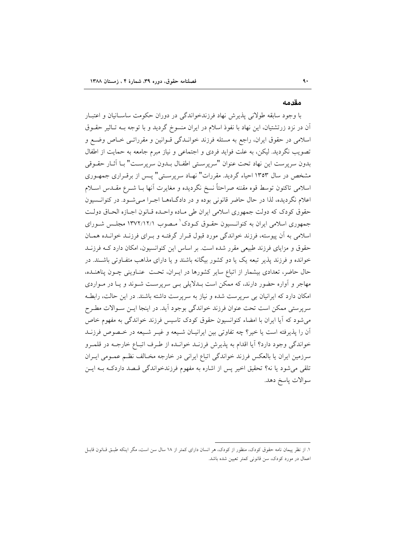#### مقدمه

با وجود سابقه طولانی پذیرش نهاد فرزندخواندگی در دوران حکومت ساسـانیان و اعتبـار آن در نزد زرتشتیان، این نهاد با نفوذ اسلام در ایران منسوخ گردید و با توجه بـه تـاثیر حقــوق اسلامی در حقوق ایران، راجع به مسئله فرزند خوانـدگی قـوانین و مقرراتـی خـاص وضـع و تصویب نگردید. لیکن، به علت فواید فردی و اجتماعی و نیاز مبرم جامعه به حمایت از اطفال بدون سريرست اين نهاد تحت عنوان "سريرستي اطفـال بــدون سريرسـت" بــا آثــار حقــوقي مشخص در سال ۱۳۵۳ احیاء گردید. مقررات" نهـاد سرپرسـتي" پـس از برقـراري جمهـوري اسلامی تاکنون توسط قوه مقننه صراحتاً نسخ نگردیده و مغایرت آنها بــا شــرع مقــدس اســلام اعلام نگرديده، لذا در حال حاضر قانوني بوده و در دادگـاههــا اجـرا مــي شــود. در كنوانــسيون حقوق كودك كه دولت جمهوري اسلامي ايران طي مـاده واحـده قـانون اجـازه الحـاق دولـت جمهوری اسلامی ایران به کنوانــسیون حقـوق کــودک' مـصوب ۱۳۷۲/۱۲/۱ مجلــس شــورای اسلامی به آن پیوسته، فرزند خواندگی مورد قبول قـرار گرفتـه و بـرای فرزنـد خوانـده همـان حقوق و مزایای فرزند طبیعی مقرر شده است. بر اساس این کنوانسیون، امکان دارد کـه فرزنـد خوانده و فرزند پذیر تبعه یک یا دو کشور بیگانه باشند و یا دارای مذاهب متفـاوتی باشــند. در حال حاضر، تعدادی بیشمار از اتباع سایر کشورها در ایـران، تحـت عنـاوینی چـون پناهنـده، مهاجر و آواره حضور دارند، که ممکن است بــدلایلی بــی سرپرســت شــوند و یــا در مــواردی امکان دارد که ایرانیان بی سرپرست شده و نیاز به سرپرست داشته باشند. در این حالت، رابطه سرپرستی ممکن است تحت عنوان فرزند خواندگی بوجود آید. در اینجا ایـن سـوالات مطـرح می شود که آیا ایران با امضاء کنوانسیون حقوق کودک تاسیس فرزند خواندگی به مفهوم خاص آن را پذیرفته است یا خیر؟ چه تفاوتی بین ایرانیـان شـیعه و غیـر شـیعه در خـصوص فرزنــد خواندگی وجود دارد؟ آیا اقدام به پذیرش فرزنـد خوانـده از طـرف اتبـاع خارجـه در قلمـرو سرزمین ایران یا بالعکس فرزند خواندگی اتباع ایرانی در خارجه مخـالف نظـم عمـومی ایـران تلقی می شود یا نه؟ تحقیق اخیر پس از اشاره به مفهوم فرزندخواندگی قبصد داردکـه بـه ایــن سوالات ياسخ دهد.

۱. از نظر پیمان نامه حقوق کودک، منظور از کودک، هر انسان دارای کمتر از ۱۸ سال سن است، مگر اینکه طبـق قــانون قابــل اعمال در مورد کودک، سن قانونی کمتر تعیین شده باشد.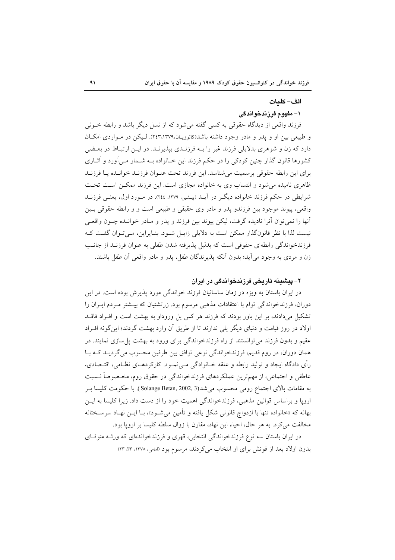#### الف- كلمات

### ۱- مفهوم فرزندخواندگی

فرزند واقعی از دیدگاه حقوقی به کسی گفته می شود که از نسل دیگر باشد و رابطه خــونی و طبیعی بین او و یدر و مادر وجود داشته باشد(کاتوزیان،٢٤٣،١٣٧٩). لیکن در مواردی امکان دارد که زن و شوهری بدلایلی فرزند غیر را بـه فرزنـدی بیذیرنـد. در ایـن ارتبـاط در بعـضی کشورها قانون گذار چنین کودکی را در حکم فرزند این خـانواده بـه شـمار مـی آورد و آثــاری برای این رابطه حقوقی برسمیت می شناسد. این فرزند تحت عنبوان فرزنید خوانیده پیا فرزنید ظاهری نامیده می شود و انتساب وی به خانواده مجازی است. این فرزند ممکـن اسـت تحـت شرایطی در حکم فرزند خانواده دیگر در آیــد (پیـشین، ۱۳۷۹، ۲٤٤). در مــورد اول، یعنــی فرزنــد واقعی، پیوند موجود بین فرزندو پدر و مادر وی حقیقی و طبیعی است و و رابطه حقوقی بـین أنها را نمي توان أنرا ناديده گرفت، ليكن پيوند بين فرزند و پدر و مـادر خوانـده چـون واقعـي نیست لذا با نظر قانونگذار ممکن است به دلایلی زایـل شـود. بنـایراین، مـیتوان گفـت کـه فرزندخواندگی رابطهای حقوقی است که بدلیل پذیرفته شدن طفلی به عنوان فرزنید از جانب زن و مردی به وجود می آید؛ بدون آنکه پذیرندگان طفل، پدر و مادر واقعی آن طفل باشند.

# ۲– پیشینه تاریخی فرزندخواندگی در ایران

در ایران باستان به ویژه در زمان ساسانیان فرزند خواندگی مورد پذیرش بوده است. در این دوران، فرزندخواندگی توام با اعتقادات مذهبی مرسوم بود. زرتشتیان که بیـشتر مـردم ایـران را تشکیل میدادند، بر این باور بودند که فرزند هر کس پل وروداو به بهشت است و افـراد فاقــد اولاد در روز قیامت و دنیای دیگر یلی ندارند تا از طریق آن وارد بهشت گردند؛ این گونه افـراد عقیم و بدون فرزند می توانستند از راه فرزندخواندگی برای ورود به بهشت پل سازی نمایند. در همان دوران، در روم قديم، فرزندخواندگي نوعي توافق بين طرفين محسوب مي گرديـد كـه بـا رأى دادگاه ايجاد و توليد رابطه و علقه خــانوادگي مــيiمــود. كاركردهــاي نظــامي، اقتــصادي، عاطفی و اجتماعی، از مهمترین عملکردهای فرزندخواندگی در حقوق روم، مخـصوصاً نــسبت به مقامات بالای اجتماع رومی محسوب می شد(Solange Betan, 2002, 3 ). با حکومت کلیسا بر اروپا و براساس قوانین مذهبی، فرزندخواندگی اهمیت خود را از دست داد. زیرا کلیسا به ایـن بهانه که «خانواده تنها با ازدواج قانونی شکل یافته و تأمین می شـود»، بـا ایــن نهـاد سرســختانه مخالفت میکرد. به هر حال، احیاء این نهاد، مقارن با زوال سلطه کلیسا بر ارویا بود.

در ایران باستان سه نوع فرزندخواندگی انتخابی، قهری و فرزندخواندهای که ورثـه متوفـای بدون اولاد بعد از فوتش برای او انتخاب می کردند، مرسوم بود (امامی، ١٣٧٨، ٣٣، ٢٣)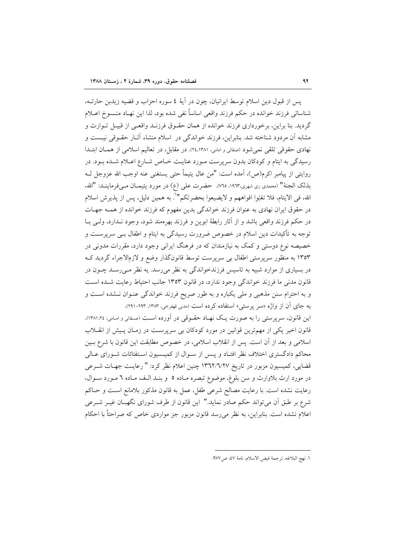پس از قبول دین اسلام توسط ایرانیان، چون در آیهٔ ٤ سوره احزاب و قضیه زیدبن حارثـه، شناسائي فرزند خوانده در حكم فرزند واقعي اساساً نفي شده بود، لذا اين نهـاد منـسوخ اعــلام گردید. بنا براین، برخورداری فرزند خوانده از همان حقـوق فرزنـد واقعـی از قبیـل تـوارث و مشابه آن مردود شناخته شد. بنابراین، فرزند خواندگی در اسلام منشاء آثـار حقـوقی نیـست و نهادي حقوقي تلقى نمي شود (صفائي و امامي، ٢٤،١٣٨١). در مقابل، در تعاليم اسلامي از همسان ابتـدا رسیدگی به ایتام و کودکان بدون سرپرست مـورد عنایـت خـاص شـارع اعـلام شـده بـود. در روايتي از پيامبر اكرم(ص)، آمده است: "من عال يتيماً حتى يستغني عنه اوجب الله عزوجل لـه بذلك الجنة" (محمدي ري شهري،١٩٦٣، ٧٦٥). حضرت علي (ع) در مورد يتيمــان مــي فرماينــد: "الله، الله، في الايتام، فلا تغبّوا افواههم و لايضيعوا بحضرتكم'''. به همين دليل، پس از پذيرش اسلام در حقوق ایران نهادی به عنوان فرزند خواندگی بدین مفهوم که فرزند خوانده از همـه جهـات در حکم فرزند واقعی باشد و از آثار رابطهٔ ابوین و فرزند بهرهمند شود، وجود نــدارد، ولــی بــا توجه به تأکیدات دین اسلام در خصوص ضرورت رسیدگی به ایتام و اطفال بـی سرپرســت و خصیصه نوع دوستی و کمک به نیازمندان که در فرهنگ ایرانی وجود دارد، مقررات مدونی در ۱۳۵۳ به منظور سرپرستی اطفال بی سرپرست توسط قانونگذار وضع و لازمالاجراء گردید ک در بسیاری از موارد شبیه به تاسیس فرزندخواندگی به نظر میرسد. یه نظر مـیرسـد چـون در قانون مدنی ما فرزند خواندگی وجود ندارد، در قانون ۱۳۵۳ جانب احتیاط رعایت شده است و به احترام سنن مذهبی و ملی یکباره و به طور صریح فرزند خواندگی عنـوان نـشده اسـت و به جای آن از واژه «سر پرستی» استفاده کرده است (مدنی قهفرخی، ۱۳۸۳، ۲۹۲-۲۹۱).

این قانون، سرپرستی را به صورت یک نهـاد حقـوقی در آورده اسـت (صـفائی و امـامی، ١٣٨١،٢٤). قانون اخیر یکی از مهمترین قوانین در مورد کودکان بی سرپرست در زمـان پـیش از انقــلاب اسلامی و بعد از آن است. پس از انقلاب اسلامی، در خصوص مطابقت این قانون با شرع بـین محاکم دادگستری اختلاف نظر افتـاد و پـس از سـوال از کمیـسیون اسـتفتائات شـورای عـالـی قضایی، کمیسیون مزبور در تاریخ ١٣٦٢/٦/٢٧ چنین اعلام نظر کرد: " رعایت جهـات شــرعی در مورد ارث بلاوارث و سن بلوغ، موضوع تبصره مـاده ٥ و بنـد الـف مـاده ٦ مـورد سـوال، رعايت نشده است. با رعايت مصالح شرعي طفل، عمل به قانون مذكور بلامانع است و حـاكم شرع بر طبق آن می تواند حکم صادر نماید." این قانون از طرف شورای نگهبـان غیـر شــرعی اعلام نشده است. بنابراین، به نظر می رسد قانون مزبور جز مواردی خاص که صراحتاً با احکام

١. نهج البلاغه، ترجمة فيض الاسلام، نامة ٤٧، ص٩٧٧.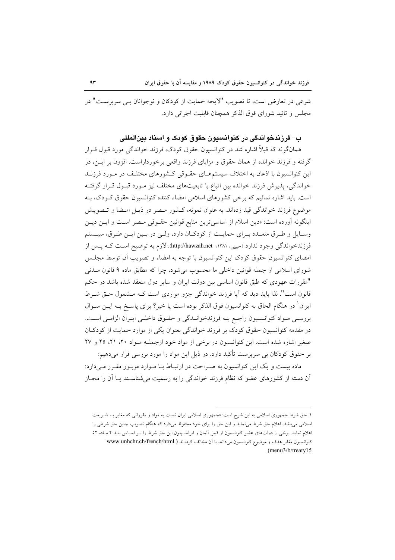شرعي در تعارض است، تا تصويب "لايحه حمايت از كودكان و نوجوانان بـي سريرسـت" در مجلس و تائيد شوراي فوق الذكر همچنان قابلت اجرائي دارد.

# ب– فرزيندخواندگي در کنوانسيون حقوق کودک و اسناد پينالمللي

همانگو نه که قبلاً اشاره شد در کنوانسیون حقوق کودک، فرزند خواندگی مورد قبول قـرار گرفته و فرزند خوانده از همان حقوق و مزایای فرزند واقعی برخورداراست. افزون بر ایــن، در این کنوانسیون با اذعان به اختلاف سیستمهـای حقـوقی کـشورهای مختلـف در مـورد فرزنـد خواندگی، پذیرش فرزند خوانده بین اتباع با تابعیتهای مختلف نیز مـورد قبـول قـرار گرفتـه است. باید اشاره نمائیم که برخی کشورهای اسلامی امضاء کننده کنوانسیون حقوق کـودک، بـه موضوع فرزند خواندگی قید زدهاند. به عنوان نمونه، کـشور مـصر در ذیـل امـضا و تـصویبش اینگونه آورده است: «دین اسلام از اساسیترین منابع قوانین حقـوقی مـصر اسـت و ایـن دیـن وسـايل و طـرق متعــدد بــراي حمايــت از كودكــان دارد، ولــي در بــين ايــن طـرق، سيــستم فرزندخواندگی وجود ندارد (حبیبی، ۱۳۸۱، http://hawzah.net). لازم به توضیح است کـه پـس از امضای کنوانسیون حقوق کودک این کنوانسیون با توجه به امضاء و تصویب آن توسط مجلـس شوراي اسلامي از جمله قوانين داخلي ما محسوب مي شود، چرا كه مطابق ماده ۹ قانون مــدني "مقررات عهودي كه طبق قانون اساسي بين دولت ايران و ساير دول منعقد شده باشد در حكم قانون است". لذا باید دید که آیا فرزند خواندگی جزو مواردی است کـه مـشمول حـق شـرط ایران ٰ در هنگام الحاق به کنوانسیون فوق الذکر بوده است یا خیر؟ برای پاسـخ بــه ایــن ســوال بررسـي مـواد كنوانـسيون راجـع بـه فرزندخوانـدگي و حقـوق داخلـي ايـران الزامـي اسـت. در مقدمه کنوانسیون حقوق کودک بر فرزند خواندگی بعنوان یکی از موارد حمایت از کودکان صغیر اشاره شده است. این کنوانسیون در برخی از مواد خود ازجملـه مـواد ۲۰، ۲۱، ۲۵ و ۲۷ بر حقوق کودکان بی سرپرست تأکید دارد. در ذیل این مواد را مورد بررسی قرار میدهیم:

ماده بیست و یک این کنوانسیون به صـراحت در ارتبـاط بـا مـوارد مزبـور مقـرر مـیدارد: آن دسته از کشورهای عضو که نظام فرزند خواندگی را به رسمیت می شناسـند پـا آن را مجـاز

۱. حق شرط جمهوری اسلامی به این شرح است: «جمهوری اسلامی ایران نسبت به مواد و مقرراتی که مغایر بـا شـریعت اسلامی می باشد، اعلام حق شرط می نماید و این حق را برای خود محفوظ میدارد که هنگام تصویب چنین حق شرطی را اعلام نماید. برخی از دولتهای عضو کنوانسیون از قبیل آلمان و ایرلند چون این حق شرط را بـر اسـاس بنـد ۲ مـاده ٥٢ کنوانسیون مغایر هدف و موضوع کنوانسیون میدانند با آن مخالف کردهاند (.www.unhchr.ch/french/html (menu3/b/treaty15).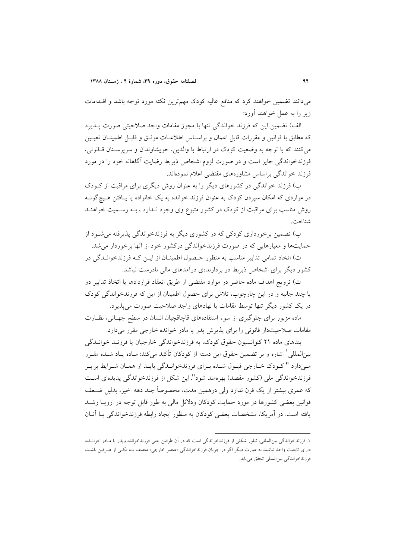میدانند تضمین خواهند کرد که منافع عالیه کودک مهمترین نکته مورد توجه باشد و اقــدامات زیر را به عمل خواهند آورد:

الف) تضمین این که فرزند خواندگی تنها با مجوز مقامات واجد صلاحیتی صورت پـذیرد كه مطابق با قوانين و مقررات قابل اعمال و براسـاس اطلاعـات موثـق و قابـل اطمينــان تعيــين مي كنند كه با توجه به وضعيت كودك در ارتباط با والدين، خويشاوندان و سريرسـتان قـانوني، فرزندخواندگی جایز است و در صورت لزوم اشخاص ذیربط رضایت آگاهانه خود را در مورد فرزند خواندگی براساس مشاورههای مقتضی اعلام نمودهاند.

ب) فرزند خواندگی در کشورهای دیگر را به عنوان روش دیگری برای مراقبت از ک ودک در مواردی که امکان سپردن کودک به عنوان فرزند خوانده به یک خانواده یا یـافتن هـیچگونــه روش مناسب برای مراقبت از کودک در کشور متبوع وی وجود نـدارد ، بـه رسـمیت خواهنـد شناخت.

پ) تضمین برخورداری کودکی که در کشوری دیگر به فرزندخواندگی پذیرفته میشود از حمایتها و معیارهایی که در صورت فرزندخواندگی درکشور خود از آنها برخوردار می شد.

ت) اتخاد تمامی تدابیر مناسب به منظور حصول اطمینان از ایـن کـه فرزندخوانـدگی در کشور دیگر برای اشخاص ذیربط در بردارندهی درآمدهای مالی نادرست نباشد.

ث) ترويج اهداف ماده حاضر در موارد مقتضى از طريق انعقاد قراردادها يا اتخاذ تدابير دو یا چند جانبه و در این چارچوب، تلاش برای حصول اطمینان از این که فرزندخواندگی کودک در یک کشور دیگر تنها توسط مقامات یا نهادهای واجد صلاحیت صورت میپذیرد.

ماده مزبور برای جلوگیری از سوء استفادههای قاچاقچیان انسان در سطح جهـانی، نظـارت مقامات صلاحیتدار قانونی را برای پذیرش پدر یا مادر خوانده خارجی مقرر میدارد.

بندهای ماده ۲۱ کنوانسیون حقوق کودک، به فرزندخواندگی خارجیان یا فرزنـد خوانـدگی بینالمللی ٰ اشاره و بر تضمین حقوق این دسته از کودکان تأکید میکند: مـاده یـاد شــده مقـرر مـیدارد " کـودک خـارجي قبـول شـده بـراي فرزندخوانـدگي بايـد از همـان شـرايط برابـر فرزندخواندگی ملی (کشور مقصد) بهرهمند شود". این شکل از فرزندخواندگی پدیدهای است که عمری بیشتر از یک قرن ندارد ولی درهمین مدت، مخصوصاً چند دهه اخیر، بدلیل ضـعف قوانین بعضی کشورها در مورد حمایت کودکان ودلائل مالی به طور قابل توجه در اروپــا رشــد یافته است. در آمریکا، مشخصات بعضی کودکان به منظور ایجاد رابطه فرزندخواندگی بـا آنـان

١. فرزندخواندگي بين|لمللي، تبلور شكلي از فرزندخواندگي است كه در آن طرفين يعني فرزندخوانده ويدر يا مـادر خوانـده، دارای تابعیت واحد نباشند به عبارت دیگر اگر در جریان فرزندخواندگی «عنصر خارجی» متصف بـه یکـی از طـرفین باشـد، فرزندخواندگي بين المللي تحقق مي يابد.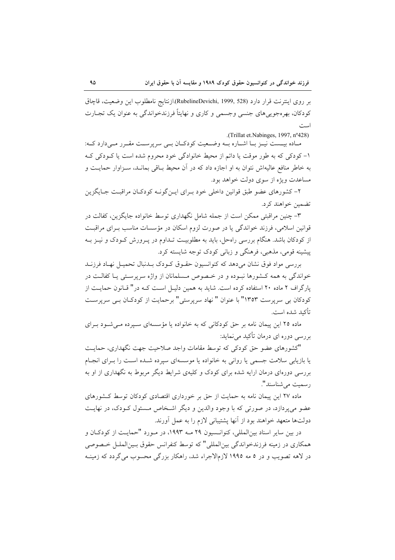بر روى اينترنت قرار دارد (RubelineDevichi, 1999, 528).ازنتايج نامطلوب اين وضعيت، قاچاق کودکان، بهرهجوییهای جنسی وجسمی و کاری و نهایتاً فرزندخواندگی به عنوان یک تجـارت امدت

.(Trillat et.Nabinges, 1997, n°428)

مبادہ بیست نیبز بنا اشبارہ بنه وضیعیت کودکیان ہے سرپرست مقبرر مے دارد کیہ: ۱- کودکی که به طور موقت یا دائم از محیط خانوادگی خود محروم شده است یا کـودکی کـه به خاطر منافع عالیهاش نتوان به او اجازه داد که در آن محیط بـاقی بمانـد، سـزاوار حمایـت و مساعدت ویژه از سوی دولت خواهد بود.

۲- کشورهای عضو طبق قوانین داخلی خود بـرای ایـن گونـه کودکـان مراقبـت جـایگزین تضمين خواهند كرد.

۳- چنین مراقبتی ممکن است از جمله شامل نگهداری توسط خانواده جایگزین، کفالت در قوانین اسلامی، فرزند خواندگی یا در صورت لزوم اسکان در مؤسسات مناسب بـرای مراقبـت از کودکان باشد. هنگام بررسی راهحل، باید به مطلوبیت تـداوم در پـرورش کـودک و نیـز بـه پیشینه قومی، مذهبی، فرهنگی و زبانی کودک توجه شایسته کرد.

بررسی مواد فوق نشان میدهد که کنوانسیون حقـوق کـودک بـدنبال تحمیـل نهـاد فرزنــد خواندگی به همه کـشورها نبـوده و در خـصوص مـسلمانان از واژه سرپرسـتی یـا کفالـت در یارگراف ۲ ماده ۲۰ استفاده کرده است. شاید به همین دلیـل اسـت کـه در " قـانون حمایـت از کودکان بی سرپرست ۱۳۵۳" با عنوان " نهاد سرپرستی" برحمایت از کودکان بـی سرپرسـت تأكيد شده است.

ماده ۲۵ این پیمان نامه بر حق کودکانی که به خانواده یا مؤسسهای سبیرده مبی شود بیرای بررسی دوره ای درمان تأکید می نماید:

"كشورهاى عضو حق كودكى كه توسط مقامات واجد صلاحيت جهت نگهدارى، حمايت یا بازیابی سلامت جسمی یا روانی به خانواده یا موسسهای سپرده شـده اسـت را بـرای انجـام بررسی دورهای درمان ارایه شده برای کودک و کلیهی شرایط دیگر مربوط به نگهداری از او به رسميت مي شناسند".

ماده ۲۷ این پیمان نامه به حمایت از حق بر خورداری اقتصادی کودکان توسط کـشورهای عضو می پردازد، در صورتی که با وجود والدین و دیگر اشـخاص مـسئول کــودک، در نهایــت دولتها متعهد خواهند بود از آنها پشتیبانی لازم را به عمل آورند.

در بین سایر اسناد بینالمللی، کنوانـسیون ۲۹ مــه ۱۹۹۳، در مــورد "حمایــت از کودکــان و همکاري در زمينه فرزندخواندگي بين|لمللي" که توسط کنفرانس حقوق بـين|لملــل خـصوصي در لاهه تصویب و در ۵ مه ۱۹۹۵ لازمالاجراء شد، راهکار بزرگی محسوب میگردد که زمینـه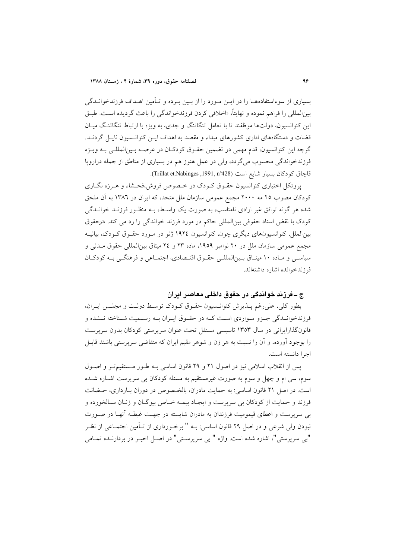بسیاری از سوءاستفادههــا را در ایــن مــورد را از بــین بــرده و تــأمین اهــداف فرزندخوانــدگی بينالمللي را فراهم نموده و نهايتاً، «اخلاقي كردن فرزندخواندگي را باعث گرديده است. طبـق این کنوانسیون، دولتها موظفند تا با تعامل تنگاتنگ و جدی، به ویژه با ارتباط تنگاتنگ میـان قضات و دستگاههای اداری کشورهای مبداء و مقصد به اهداف این کنوانسیون ناپس گردنید. گرچه اين كنوانسيون، قدم مهمي در تضمين حقـوق كودكـان در عرصــه بـينالمللـي بـه ويـژه فرزندخواندگی محسوب میگردد، ولی در عمل هنوز هم در بسیاری از مناطق از جمله دراروپا قاچاق كودكان بسيار شايع است (Trillat et.Nabinges ,1991, nº428).

پروتکل اختیاری کنوانسیون حقـوق کـودک در خـصوص فروش،فحـشاء و هـرزه نگـاری کودکان مصوب ۲۵ مه ۲۰۰۰ مجمع عمومی سازمان ملل متحد، که ایران در ۱۳۸۲ به آن ملحق شده هر گونه توافق غیر ارادی نامناسب، به صورت یک واسطه بـه منظـور فرزنـد خوانـدگی کودک با نقض اسناد حقوقی بین|لمللی حاکم در مورد فرزند خواندگی را رد می کند. **در**حقوق بینالملل، کنوانسیونهای دیگری چون، کنوانسیون ۱۹۲٤ ژنو در مـورد حقـوق کـودک، بیانیــه مجمع عمومي سازمان ملل در ۲۰ نوامبر ۱۹۵۹، ماده ۲۳ و ۲٤ ميثاق بين(لمللي حقوق مــدني و سیاسبی و مـاده ۱۰ میثـاق بـینالمللـی حقـوق اقتـصادی، اجتمـاعی و فرهنگـی بـه کودکـان فرزندخوانده اشاره داشتهاند.

# ج ــ فرزند خواندگی در حقوق داخلی معاصر ایران

بطور كلي، علىرغم پـذيرش كنوانـسيون حقـوق كـودک توسـط دولـت و مجلـس ايـران، فرزندخوانـدگي جـزو مـواردي اسـت كـه در حقـوق ايـران بـه رسـميت شـناخته نــشده و قانون گذارایرانی در سال ۱۳۵۳ تاسیسی مستقل تحت عنوان سرپرستی کودکان بدون سرپرست را بوجود آورده، و آن را نسبت به هر زن و شوهر مقیم ایران که متقاضی سرپرستی باشند قابـل اجرا دانسته است.

پس از انقلاب اسلامی نیز در اصول ۲۱ و ۲۹ قانون اساسی بـه طـور مـستقیمتـر و اصـول سوم، سی ام و چهل و سوم به صورت غیرمستقیم به مسئله کودکان بی سرپرست اشباره شبده است. در اصل ۲۱ قانون اساسی: به حمایت مادران، بالخصوص در دوران بـارداری، حـضانت فرزند و حمایت از کودکان بی سرپرست و ایجـاد بیمـه خـاص بیوگـان و زنـان سـالخورده و بی سرپرست و اعطای قیمومیت فرزندان به مادران شایسته در جهت غبطـه آنهـا در صـورت نبودن ولي شرعي و در اصل ٢٩ قانون اساسي: بــه " برخــورداري از تــأمين اجتمــاعي از نظـر "بي سرپرستي"، اشاره شده است. واژه " بي سرپرسـتي" در اصـل اخيـر در بردارنـده تمـامي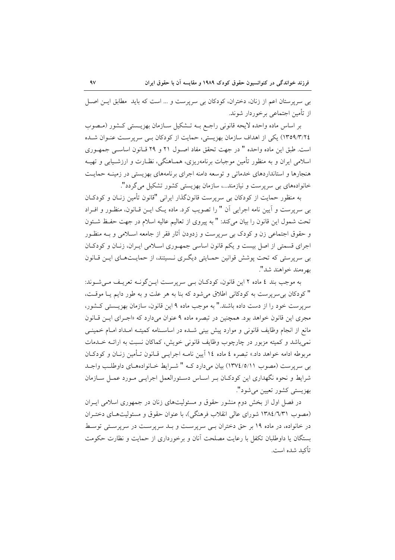بی سرپرستان اعم از زنان، دختران، کودکان بی سرپرست و … است که باید ً مطابق ایــن اصــل از تأمین اجتماعی برخوردار شوند.

بر اساس ماده واحده لایحه قانونی راجع بـه تـشکیل سـازمان بهزیـستی کـشور (مـصوب ١٣٥٩/٣/٢٤) یکی از اهداف سازمان بهزیستی، حمایت از کودکان ببی سرپرست عنـوان شـده است. طبق این ماده واحده " در جهت تحقق مفاد اصـول ۲۱ و ۲۹ قـانون اساسـی جمهـوری اسلامی ایران و به منظور تأمین موجبات برنامهریزی، همـاهنگی، نظـارت و ارزشـیابی و تهیــه هنجارها و استانداردهای خدماتی و توسعه دامنه اجرای برنامههای بهزیستی در زمینـه حمایـت خانوادههای بی سرپرست و نیازمند…، سازمان بهزیستی کشور تشکیل می گردد".

به منظور حمایت از کودکان بی سرپرست قانونگذار ایرانی "قانون تأمین زنـان و کودکـان بی سرپرست و آیین نامه اجرایی آن " را تصویب کرد. ماده یـک ایــن قــانون، منظــور و افــراد تحت شمول این قانون را بیان می کند: " به پیروی از تعالیم عالیه اسلام در جهت حفظ شـئون و حقوق اجتماعی زن و کودک بی سرپرست و زدودن آثار فقر از جامعه اسـلامی و بـه منظـور اجرای قسمتی از اصل بیست و یکم قانون اساسی جمهوری اسلامی ایـران، زنـان و کودکـان بی سرپرستی که تحت پوشش قوانین حمـایتی دیگـری نـسیتند، از حمایـتهـای ایــن قــانون بھر معند خواهند شد".

به موجب بند ٤ ماده ٢ اين قانون، كودكـان بـي سرپرسـت ايـنگونـه تعريـف مـي شـوند: " كودكان بي سرپرست به كودكاني اطلاق مي شود كه بنا به هر علت و به طور دايم يـا موقـت، سرپرست خود را از دست داده باشند." به موجب ماده ۹ این قانون، سازمان بهزیـستی کـشور، مجری این قانون خواهد بود. همچنین در تبصره ماده ۹ عنوان میدارد که «اجـرای ایـن قـانون مانع از انجام وظایف قانونی و موارد پیش بینی شـده در اساسـنامه کمیتـه امـداد امـام خمینـی نمي باشد و كميته مزبور در چارچوب وظايف قانوني خويش، كماكان نسبت به ارائـه خــدمات مربوطه ادامه خواهد داد.» تبصره ٤ ماده ١٤ آيين نامــه اجرايــي قــانون تــأمين زنــان و كودكــان بی سرپرست (مصوب ١٣٧٤/٥/١١) بيان ميدارد كــه " شــرايط خــانوادههـاي داوطلـب واجــد شرايط و نحوه نگهداري اين كودكـان بـر اسـاس دسـتورالعمل اجرايـي مـورد عمـل سـازمان بھزيستي کشور تعيين مي شود".

در فصل اول از بخش دوم منشور حقوق و مسئولیتهای زنان در جمهوری اسلامی ایـران (مصوب ۱۳۸٤/٦/٣١ شوراي عالي انقلاب فرهنگي)، با عنوان حقوق و مسئوليتهاي دختـران در خانواده، در ماده ۱۹ بر حق دختران ببی سرپرست و بـد سرپرست در سرپرسـتی توسـط بستگان یا داوطلبان تکفل با رعایت مصلحت آنان و برخورداری از حمایت و نظارت حکومت تأكيد شده است.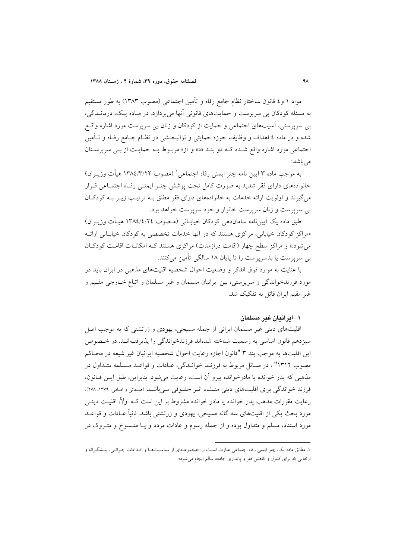مواد ١ و٤ قانون ساختار نظام جامع رفاه و تأمين اجتماعي (مصوب ١٣٨٣) به طور مستقيم به مسئله کودکان بی سرپرست و حمایتهای قانونی آنها می پردازد. در مـاده یـک، درمانــدگی، بی سرپرستی، اسیبهای اجتماعی و حمایت از کودکان و زنان بی سرپرست مورد اشاره واقع شده و در ماده ٤ اهداف و وظایف حوزه حمایتی و توانبخــشی در نظــام جــامع رفــاه و تــأمین اجتماعی مورد اشاره واقع شده که دو بنـد «د» و «ز» مربـوط بـه حمایـت از بـی سرپرسـتان مى باشد:

به موجب ماده ۳ آیین نامه چتر ایمنی رفاه اجتماعی ٰ (مصوب ۱۳۸٤/۳/۲۲ هیأت وزیــران) خانوادههای دارای فقر شدید به صورت کامل تحت پوشش چتـر ایمنـی رفـاه اجتمـاعی قـرار می گیرند و اولویت ارائه خدمات به خانوادههای دارای فقر مطلق بـه ترتیب زیـر بـه کودکـان بي سرپرست و زنان سرپرست خانوار و خود سرپرست خواهد بود.

طبق ماده یک اَیینِ نامه ساماندهی کودکان خیابــانی (مــصوب ١٣٨٤/٤/٢٤ هیــأت وزیــران) «مراکز کودکان خیابانی، مراکزی هستند که در آنها خدمات تخصصی به کودکان خیابـانی ارائــه می شود.» و مراکز سطح چهار (اقامت درازمدت) مراکزی هستند کـه امکانـات اقامـت کودکـان بی سرپرست یا بدسرپرست را تا پایان ۱۸ سالگی تأمین میکنند.

با عنایت به موارد فوق الذکر و وضعیت احوال شخصیه اقلیتهای مذهبی در ایران باید در مورد فرزندخواندگی و سرپرستی، بین ایرانیان مسلمان و غیر مسلمان و اتباع خــارجی مقـیم و غیر مقیم ایران قائل به تفکیک شد.

#### ۱– ابر اندان غیر مسلمان

اقلیتهای دینی غیر مسلمان ایرانی از جمله مسیحی، یهودی و زرتشتی که به موجب اصل سیزدهم قانون اساسی به رسمیت شناخته شدهاند فرزندخواندگی را پذیرفتـهانـد. در خـصوص اين اقليتها به موجب بند ٣ "قانون اجازه رعايت احوال شخصيه ايرانيان غير شيعه در محــاكم مصوب ۱۳۱۲"، در مسائل مربوط به فرزنـد خوانـدگي، عــادات و قواعـد مــسلمه متــداول در مذهبي كه يدر خوانده يا مادرخوانده پيرو آن است، رعايت مي شود. بنابراين، طبق ايـن قـانون، فرزند خواندگی برای اقلیتهای دینی منــشاء اثـر حقـوقی مــی باشــد (صـفائی و امـامی، ۱۳۷۹، ۲۷۸). رعایت مقررات مذهب پدر خوانده یا مادر خوانده مشروط بر این است کــه اولاً، اقلیــت دینــی مورد بحث یکی از اقلیتهای سه گانه مسیحی، یهودی و زرتشتی باشد. ثانیاً عــادات و قواعــد مورد استناد، مسلم و متداول بوده و از جمله رسوم و عادات مردد و یـا منـسوخ و متـروک در

۱. مطابق ماده یک، چتر ایمنی رفاه اجتماعی عبارت است از: «مجموعـهای از سیاسـتهـا و اقـدامات جبرانـی، پیـشگیرانه و ارتقایی که برای کنترل و کاهش فقر و پایداری جامعه سالم انجام می شود».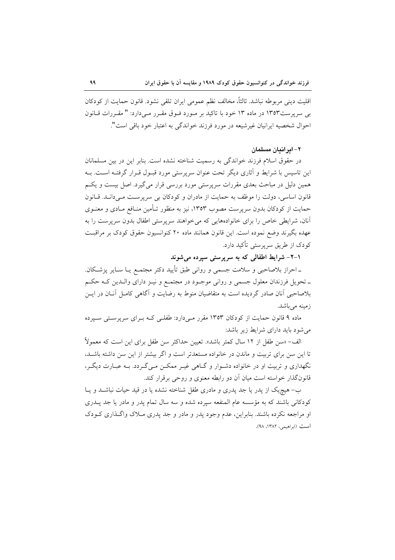اقليت ديني مربوطه نباشد. ثالثاً، مخالف نظم عمومي ايران تلقى نشود. قانون حمايت از كودكان بی سرپرست۱۳۵۳ در ماده ۱۳ خود با تاکید بر مـورد فـوق مقـرر مـیدارد: " مقـررات قـانون احوال شخصيه ايرانيان غيرشيعه در مورد فرزند خواندگي به اعتبار خود باقي است".

٢– ابر اندان مسلمان

در حقوق اسلام فرزند خواندگی به رسمیت شناخته نشده است. بنابر این در بین مسلمانان این تاسیس با شرایط و آثاری دیگر تحت عنوان سرپرستی مورد قبـول قـرار گرفتـه اسـت. بـه همین دلیا ٍ در مباحث بعدی مقررات سرپرستی مورد بررسی قرار میگیرد. اصل بیست و یکم قانون اساسی، دولت را موظف به حمایت از مادران و کودکان بی سرپرست مـی دانـد. قـانون حمایت از کودکان بدون سرپرست مصوب ۱۳۵۳، نیز به منظور تـأمین منـافع مـادی و معنـوی آنان، شرایطی خاص را برای خانوادههایی که می خواهند سرپرستی اطفال بدون سرپرست را به عهده بگیرند وضع نموده است. این قانون همانند ماده ۲۰ کنوانسیون حقوق کودک بر مراقبت کو دک از طریق سرپرستی تأکید دارد.

۰۱–۲– شرایط اطفالی که به سرپرستی سپرده میشوند

ـ احراز بلاصاحبی و سلامت جسمی و روانی طبق تأیید دکتر مجتمـع یــا ســایر پزشــکان. ـ تحويل فرزندان معلول جسمي و رواني موجــود در مجتمــع و نيــز داراي والــدين كــه حكــم بلاصاحبی آنان صادر گردیده است به متقاضیان منوط به رضایت و آگاهی کامـل آنــان در ایــن زمینه می باشد.

ماده ۹ قانون حمایت از کودکان ۱۳۵۳ مقرر مـیدارد: طفلـی کـه بـرای سرپرسـتی سـیرده می شود باید دارای شرایط زیر باشد:

الف- «سن طفل از ١٢ سال كمتر باشد». تعيين حداكثر سن طفل براي اين است كه معمولاً تا این سن برای تربیت و ماندن در خانواده مستعدتر است و اگر بیشتر از این سن داشته باشـد، نگهداری و تربیت او در خانواده دشـوار و گـاهی غیـر ممکـن مـیگـردد. بـه عبـارت دیگـر، قانونگذار خواسته است میان آن دو رابطه معنوی و روحی برقرار کند.

ب– هیچ یک از پدر یا جد پدری و مادری طفل شناخته نشده یا در قید حیات نباشـد و یـا کودکانی باشند که به مؤسسه عام المنفعه سپرده شده و سه سال تمام پدر و مادر یا جد پـدری او مراجعه نکرده باشند. بنابراین، عدم وجود یدر و مادر و جد یدری مـلاک واگـذاری کـودک است (ابراهیمی، ۱۳۸۲، ۹۸).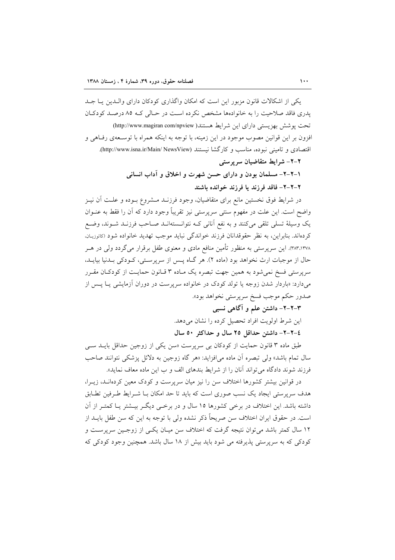یکی از اشکالات قانون مزبور این است که امکان واگذاری کودکان دارای والبدین پیا جبد یدری فاقد صلاحیت را به خانوادهها مشخص نکرده است در حـالی کـه ۸۵ درصـد کودکـان تحت پوشش بهزیستی دارای این شرایط هستند( http://www.magiran com/npview) افزون بر این قوانین مصوب موجود در این زمینه، با توجه به اینکه همراه با توسـعهی رفـاهی و اقتصادی و تامینی نبوده، مناسب و کارگشا نیستند (http://www.isna.ir/Main/ NewsView).

۲-۲- شرایط متقاضیان سرپرستی

١-٢-٢- مسلمان بودن و داراي حسن شهرت و اخلاق و آداب انساني ۲–۲–۲– فاقد فرزند یا فرزند خوانده باشند

در شرایط فوق نخستین مانع برای متقاضیان، وجود فرزنـد مــشروع بــوده و علــت آن نيــز واضح است. این علت در مفهوم سنتی سرپرستی نیز تقریباً وجود دارد که آن را فقط به عنــوان يک وسيلهٔ تسلَّى تلقى مىکنند و به نفع أنانى کـه نتوانــستهانــد صــاحب فرزنــد شــوند، وضـع كردهاند. بنابراين، به نظر حقوقدانان فرزند خواندگي نبايد موجب تهديد خانواده شود (كاتوزيان. ۳۸۳٬۱۳۷۸). این سرپرستی به منظور تأمین منافع مادی و معنوی طفل برقرار میگردد ولی در هـر حال از موجبات ارث نخواهد بود (ماده ۲). هر گـاه پـس از سرپرسـتي، كـودكي بـدنيا بيايـد، سرپرستی فسخ نمیشود به همین جهت تبصره یک مـاده ۳ قـانون حمایـت از کودکـان مقـرر میدارد: «باردار شدن زوجه یا تولد کودک در خانواده سرپرست در دوران آزمایشی یـا پــس از صدور حكم موجب فسخ سرپرستي نخواهد بود».

۳–۲–۲– داشتن علم و آگاهی نسبی

این شرط اولویت افراد تحصیل کرده را نشان میدهد.

٤-٢-٢- داشتن حداقل ٢٥ سال و حداكثر ٥٠ سال

طبق ماده ۳ قانون حمایت از کودکان بی سرپرست «سن یکی از زوجین حداقل بایــد ســی سال تمام باشد» ولي تبصره آن ماده مي افزايد: «هر گاه زوجين به دلائل پزشكي نتوانند صاحب فرزند شوند دادگاه می تواند آنان را از شرایط بندهای الف و ب این ماده معاف نماید».

در قوانین بیشتر کشورها اختلاف سن را نیز میان سرپرست و کودک معین کردهانـد، زیــرا، هدف سرپرستی ایجاد یک نسب صوری است که باید تا حد امکان بـا شـرایط طـرفین تطـابق داشته باشد. این اختلاف در برخی کشورها ۱۵ سال و در برخـی دیگـر بیـشتر یـا کمتـر از آن است. در حقوق ایران اختلاف سن صریحاً ذکر نشده ولی با توجه به این که سن طفل بایــد از ۱۲ سال کمتر باشد می توان نتیجه گرفت که اختلاف سن میـان یکـی از زوجـین سرپرسـت و کودکی که به سرپرستی پذیرفته می شود باید بیش از ۱۸ سال باشد. همچنین وجود کودکی که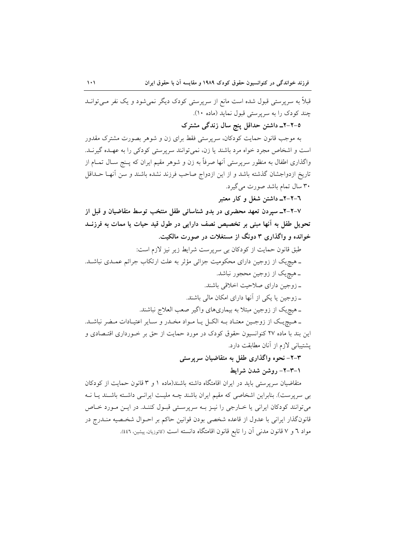قبلاً به سرپرستی قبول شده است مانع از سرپرستی کودک دیگر نمیشود و یک نفر مـیتوانــد چند کودک را به سرپرستی قبول نماید (ماده ۱۰).

0–۲–۲ـ داشتن حداقل پنج سال زندگی مشترک

به موجب قانون حمایت کودکان، سرپرستی فقط برای زن و شوهر بصورت مشترک مقدور است و اشخاص مجرد خواه مرد باشند یا زن، نمیتوانند سرپرستی کودکی را به عهـده گیرنـد. واگذاری اطفال به منظور سرپرستی آنها صرفاً به زن و شوهر مقیم ایران که پــنج ســال تمــام از تاریخ ازدواجشان گذشته باشد و از این ازدواج صاحب فرزند نشده باشند و سن آنهـا حــداقل ۳۰ سال تمام باشد صورت می گیرد.

٦–٢–٦ـ داشتن شغل و کار معتبر

۷–۲–۲– سپردن تعهد محضری در بدو شناسائی طفل منتخب توسط متقاضیان و قبل از تحویل طفل به آنها مبنی بر تخصیص نصف دارایی در طول قید حیات یا ممات به فرزنــد خوانده و واگذاری ۳ دونگ از مستغلات در صورت مالکیت.

طبق قانون حمایت از کودکان بی سرپرست شرایط زیر نیز لازم است:

ـ هیچیک از زوجین دارای محکومیت جزائی مؤثر به علت ارتکاب جرائم عمـدی نباشـد. ـ هیچیک از زوجین محجور نباشد.

۔ زوجین دارای صلاحیت اخلاقی باشند.

ـ زوجین یا یکی از آنها دارای امکان مالی باشند.

ـ هیچیک از زوجین مبتلا به بیماریهای واگیر صعب العلاج نباشند.

ـ هـيچيـک از زوجـين معتـاد بــه الکــل يــا مــواد مخــدر و ســاير اعتيــادات مــضر نباشــد. این بند با ماده ۲۷ کنوانسیون حقوق کودک در مورد حمایت از حق بر خـورداری اقتـصادی و پشتیبانی لازم از آنان مطابقت دارد.

> ۳–۲– نحوه واگذاری طفل به متقاضیان سرپرستی ١-٣-٢- روشن شدن شرايط

متقاضیان سرپرستی باید در ایران اقامتگاه داشته باشند(ماده ۱ و ۳ قانون حمایت از کودکان بی سرپرست). بنابراین اشخاصی که مقیم ایران باشند چــه ملیــت ایرانــی داشــته باشــند یــا نــه می توانند کودکان ایرانی یا خبارجی را نیـز بـه سرپرسـتی قبـول کننـد. در ایـن مـورد خـاص قانونگذار ایرانی با عدول از قاعده شخصی بودن قوانین حاکم بر احـوال شخـصیه منـدرج در مواد ٦ و ٧ قانون مدنىي آن را تابع قانون اقامتگاه دانسته است (كاتوزيان، پيشين، ٤٤٦).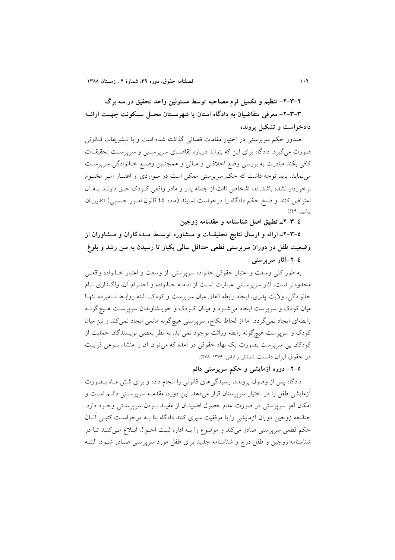۲-۳-۲- تنظیم و تکمیل فرم مصاحبه توسط مسئولین واحد تحقیق در سه برگ ۳-۳-۳- معرفی متقاضیان به دادگاه استان یا شهرسـتان محـل سـکونت جهــت ارائــه دادخواست و تشکیل پرونده

صدور حکم سرپرستی در اختیار مقامات قضائی گذاشته شده است و با تـشریفات قــانونی صورت می گیرد. دادگاه برای این که بتواند درباره تقاضای سرپرستی و سرپرست تحقیقات کافی بکند مبادرت به بررسی وضع اخلاقـی و مـالی و همچنـین وضـع خـانوادگی سرپرسـت می نماید. باید توجه داشت که حکم سرپرستی ممکن است در مـواردی از اعتبـار امـر مختـوم برخوردار نشده باشد. لذا اشخاص ثالث از جمله يدر و مادر واقعي كـودك حـق دارنــد بــه آن اعتراض كنند و فسخ حكم دادگاه را درخواست نمايند (ماده ٤٤ قانون امـور حـسبي) (كاتوزيـان. پیشین، ٤٤٩).

٤–٣–٦ـ تطبيق اصل شناسنامه و عقدنامه زوجين

۵–۳–۲ـ ارائه و ارسال نتایج تحقیقــات و مــشاوره توســط مــددکاران و مــشاوران از وضعیت طفل در دوران سرپرستی قطعی حداقل سالمی یکبار تا رسیدن به سن رشد و بلوغ ٤-٢-آثار سرپرستی

به طور كلي وسعت و اعتبار حقوقي خانواده سريرستي، از وسعت و اعتبار خـانواده واقعـي محدودتر است. آثار سرپرستی عبـارت اسـت از ادامــه خـانواده و احتـرام آن، واگـذاری نــام خانوادگی، ولایت پدری، ایجاد رابطه انفاق میان سرپرست و کودک. البته روابـط نـامبرده تنهـا میان کودک و سرپرست ایجاد می شـود و میـان کـودک و خویـشاوندان سرپرسـت هـیچگونـه رابطهای ایجاد نمیگردد. اما از لحاظ نکاح، سرپرستی هیچگونه مانعی ایجاد نمیکند و نیز میان کودک و سرپرست هیچگونه رابطه وراثت بوجود نمی]ید. به نظر بعضی نویسندگان حمایت از کودکان بی سرپرست بصورت یک نهاد حقوقی در آمده که می توان آن را منشاء نــوعی قرابـت در حقوق ايران دانست (صفائي و امامي، ١٣٧٩، ٢٧٨).

0–۲– دوره آزمایشی و حکم سرپرستی دائم

دادگاه پس از وصول پرونده، رسیدگی های قانونی را انجام داده و برای شش مـاه بـصورت آزمایشی طفل را در اختیار سرپرستان قرار میدهد. این دوره، مقدمـه سرپرسـتی دائـم اسـت و امکان لغو سرپرستی در صورت عدم حصول اطمینـان از مفیـد بـودن سرپرسـتی وجـود دارد. چنانجه زوجین دوران آزمایشی را با موفقیت سیری کنند دادگاه بنا بـه درخواسـت کتبـی آنــان حکم قطعی سرپرستی صادر میکند و موضوع را بـه اداره ثبت احـوال ابـلاغ مـیکنـد تـا در شناسنامه زوجين و طفل درج و شناسنامه جديد براي طفل مورد سرپرستي صـادر شـود. البتـه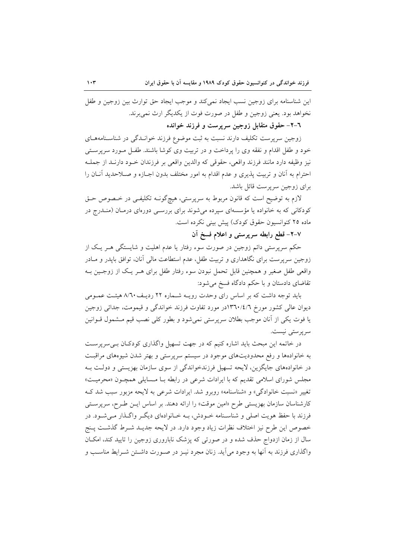این شناسنامه برای زوجین نسب ایجاد نمی کند و موجب ایجاد حق توارث بین زوجین و طفل نخواهد بود. يعني زوجين و طفل در صورت فوت از يكديگر ارث نمي برند.

٦–٢– حقوق متقابل زوجين سرپرست و فرزند خوانده

زوجین سرپرست تکلیف دارند نسبت به ثبت موضوع فرزند خوانـدگی در شناسـنامههـای خود و طفل اقدام و نفقه وی را پرداخت و در تربیت وی کوشا باشند. طفـل مـورد سرپرسـتـی نيز وظيفه دارد مانند فرزند واقعي، حقوقي كه والدين واقعي بر فرزندان خـود دارنـد از جملـه احترام به آنان و تربیت پذیری و عدم اقدام به امور مختلف بدون اجـازه و صـلاحدید آنـان را برای زوجین سرپرست قائل باشد.

لازم به توضیح است که قانون مربوط به سرپرستی، هیچگونــه تکلیفــی در خــصوص حــق کودکانی که به خانواده یا مؤسسهای سپرده میشوند برای بررسـی دورهای درمـان (منـدرج در ماده ۲۵ کنوانسیون حقوق کودک) پیش بینی نکرده است.

٧–٢– قطع رابطه سرپرستی و اعلام فسخ آن

حکم سرپرستی دائم زوجین در صورت سوء رفتار یا عدم اهلیت و شایستگی هــر یــک از زوجین سرپرست برای نگاهداری و تربیت طفل، عدم استطاعت مالی آنان، توافق بایدر و مــادر واقعی طفل صغیر و همچنین قابل تحمل نبودن سوء رفتار طفل برای هـر یـک از زوجـین بـه تقاضای دادستان و با حکم دادگاه فسخ می شود:

باید توجه داشت که بر اساس رای وحدت رویـه شـماره ۲۲ ردیـف۸/٦۰ هیئـت عمـومی دیوان عالی کشور مورخ ۱۳٦٠/٤/٦در مورد تفاوت فرزند خواندگی و قیمومت، جدائی زوجین یا فوت یکی از آنان موجب بطلان سرپرستی نمی شود و بطور کلی نصب قیم مــشمول قــوانین سرپرستی نیست.

در خاتمه این مبحث باید اشاره کنیم که در جهت تسهیل واگذاری کودکـان بـیسرپرسـت به خانوادهها و رفع محدودیتهای موجود در سیستم سرپرستی و بهتر شدن شیوههای مراقبت در خانوادههای جایگزین، لایحه تسهیل فرزندخواندگی از سوی سازمان بهزیستی و دولت بـه مجلس شورای اسلامی تقدیم که با ایرادات شرعی در رابطه بـا مـسایلی همچـون «محرمیـت» تغییر «نسبت خانوادگی» و «شناسنامه» روبرو شد. ایرادات شرعی به لایحه مزبور سبب شد ک کارشناسان سازمان بھزیستی طرح «امین موقت» را ارائه دهند. بر اساس ایـن طـرح، سرپرسـتی فرزند با حفظ هویت اصلی و شناسـنامه خـودش، بـه خـانوادهای دیگـر واگـذار مـی شـود. در خصوص اين طرح نيز اختلاف نظرات زياد وجود دارد. در لايحه جديـد شـرط گذشـت يـنج سال از زمان ازدواج حذف شده و در صورتی که پزشک ناباروری زوجین را تایید کند، امکـان واگذاری فرزند به آنها به وجود می آید. زنان مجرد نیـز در صـورت داشـتن شـرایط مناسـب و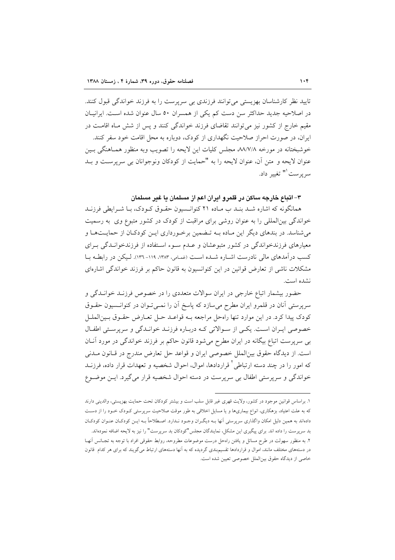تاييد نظر كارشناسان بهزيستي مي توانند فرزندي بي سرپرست را به فرزند خواندگي قبول كنند. در اصلاحیه جدید حداکثر سن دست کم یکی از همسران ۵۰ سال عنوان شده است. ایرانیـان مقیم خارج از کشور نیز می توانند تقاضای فرزند خواندگی کنند و پس از شش مـاه اقامـت در ایران، در صورت احراز صلاحیت نگهداری از کودک، دوباره به محل اقامت خود سفر کنند. خوشبختانه در مورخه ٨٨/٧/٨ مجلس كليات اين لايحه را تصويب وبه منظور همـاهنگي بـين عنوان لايحه و متن آن، عنوان لايحه را به "حمايت از كودكان ونوجوانان بي سريرست و بـد سريرست<sup>91</sup> تغيير داد.

## ۳– اتباع خارجه ساکن در قلمرو ایران اعم از مسلمان یا غیر مسلمان

همانگونه که اشاره شـد بنـد ب مـاده ۲۱ کنوانـسیون حقـوق کـودک، بـا شـرایطی فرزنـد خواندگی بینالمللی را به عنوان روشی برای مراقبت از کودک در کشور متبوع وی به رسمیت می شناسد. در بندهای دیگر این مـاده بــه تـضمین برخـورداری ایــن کودکـان از حمایــتهـا و معیارهای فرزندخواندگی در کشور متبوعشان و عـدم سـوء اسـتفاده از فرزندخوانـدگی بـرای کسب درآمدهای مالی نادرست اشباره شبده است (غمامی، ۱۳۸۳، ۱۱۹-۱۳۳). لیکن در رابطه با مشکلات ناشی از تعارض قوانین در این کنوانسیون به قانون حاکم بر فرزند خواندگی اشارهای نشده است.

حضور بیشمار اتباع خارجی در ایران سوالات متعددی را در خصوص فرزنـد خوانـدگی و سرپرستی آنان در قلمرو ایران مطرح میسازد که پاسخ آن را نمـیتوان در کنوانـسیون حقـوق كودك پيدا كرد. در اين موارد تنها راهحل مراجعه بـه قواعـد حـل تعـارض حقـوق بـينالملـل خصوصی ایران است. یکی از سوالاتی که درباره فرزند خواندگی و سرپرستی اطفال بی سرپرست اتباع بیگانه در ایران مطرح میشود قانون حاکم بر فرزند خواندگی در مورد آنان است. از ديدگاه حقوق بين الملل خصوصي ايران و قواعد حل تعارض مندرج در قـانون مــدني که امور را در چند دسته ارتباطی <sup>۲</sup> قراردادها، اموال، احوال شخصیه و تعهدات قرار داده، فرزنــد خواندگی و سرپرستی اطفال بی سرپرست در دسته احوال شخصیه قرار می گیرد. ایــن موضــوع

١. براساس قوانین موجود در کشور، ولایت قهری غیر قابل سلب است و بیشتر کودکان تحت حمایت بهزیستی، والدینی دارند که به علت اعتیاد، بزهکاری، انواع بیماریها و یا مسایل اخلاقی به طور موقت صلاحیت سرپرستی کـودک خـود را از دسـت دادهاند به همین دلیل امکان واگذاری سرپرستی آنها بـه دیگـران وجـود نـدارد. اصـطلاحاً بـه ایــن کودکـان عنـوان کودکـان بد سرپرست را داده اند. برای پیگیری این مشکل، نمایندگان مجلس "کودکان بد سرپرست" را نیز به لایحه اضافه نمودهاند. ٢. به منظور سهولت در طرح مسائل و يافتن راهحل درست موضوعات مطروحه، روابط حقوقي افراد با توجه به تجـانس أنهـا در دستههای مختلف مانند، اموال و قراردادها تقسیم بندی گردیده که به آنها دستههای ارتباط میگویند که برای هر کدام قانون خاصي از ديدگاه حقوق بينالملل خصوصي تعيين شده است.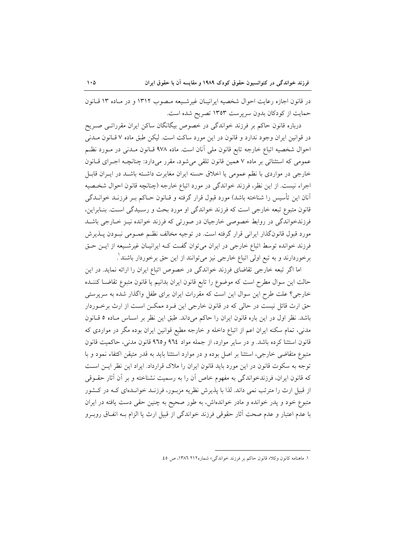در قانون اجازه رعايت احوال شخصيه ايرانيـان غيرشـيعه مـصوب ١٣١٢ و در مـاده ١٣ قـانون حمایت از کودکان بدون سرپرست ۱۳۵۳ تصریح شده است.

درباره قانون حاکم بر فرزند خواندگی در خصوص بیگانگان ساکن ایران مقرراتـی صـریح در قوانين ايران وجود ندارد و قانون در اين مورد ساكت است. ليكن طبق ماده ۷ قـانون مــدنى احوال شخصيه اتباع خارجه تابع قانون ملي آنان است. ماده ۹۷۸ قــانون مــدنى در مــورد نظــم عمومی که استثنائی بر ماده ۷ همین قانون تلقی میشود، مقرر میدارد: چنانچـه اجـرای قـانون خارجي در مواردي با نظم عمومي يا اخلاق حسنه ايران مغايرت داشته باشـد در ايـران قابـل اجراء نيست. از اين نظر، فرزند خواندگي در مورد اتباع خارجه (چنانچه قانون احوال شخصيه آنان این تأسیس را شناخته باشد) مورد قبول قرار گرفته و قـانون حـاکم بـر فرزنــد خوانــدگی قانون متبوع تبعه خارجي است كه فرزند خواندگي او مورد بحث و رسـيدگي اسـت. بنـابراين، فرزندخواندگی در روابط خصوصی خارجیان در صورتی که فرزند خوانده نیـز خـارجی باشــد مورد قبول قانونگذار ایرانی قرار گرفته است. در توجیه مخالف نظـم عمـومی نبـودن پــذیرش فرزند خوانده توسط اتباع خارجي در ايران مي توان گفت كـه ايرانيـان غيرشـيعه از ايـن حـق برخوردارند و به تبع اولی اتباع خارجی نیز میتوانند از این حق برخوردار باشند ْ.

اما اگر تبعه خارجی تقاضای فرزند خواندگی در خصوص اتباع ایران را ارائه نماید. در این حالت این سوال مطرح است که موضوع را تابع قانون ایران بدانیم یا قانون متبوع تقاضــا کننــده خارجی؟ علت طرح این سوال این است که مقررات ایران برای طفل واگذار شده به سرپرستی حق ارث قائل نیست در حالی که در قانون خارجی این فـرد ممکـن اسـت از ارث برخـوردار باشد. نظر اول در این باره قانون ایران را حاکم میداند. طبق این نظر بر اسـاس مـاده ٥ قـانون مدنی، تمام سکنه ایران اعم از اتباع داخله و خارجه مطیع قوانین ایران بوده مگر در مواردی که قانون استثنا كرده باشد. و در ساير موارد، از جمله مواد ٩٦٤ و٩٦٥ قانون مدنى، حاكميت قانون متبوع متقاضی خارجی، استثنا بر اصل بوده و در موارد استثنا باید به قدر متیقن اکتفاء نمود و با توجه به سکوت قانون در این مورد باید قانون ایران را ملاک قرارداد. ایراد این نظر ایـن اسـت که قانون ایران، فرزندخواندگی به مفهوم خاص آن را به رسمیت نشناخته و بر آن آثار حقــوقی از قبیل ارث را مترتب نمی داند. لذا با پذیرش نظریه مزبـور، فرزنـد خوانـدهای کـه در کـشور متبوع خود و پدر خوانده و مادر خواندهاش، به طور صحیح به چنین حقی دست یافته در ایران با عدم اعتبار و عدم صحت آثار حقوقی فرزند خواندگی از قبیل ارث یا الزام بـه انفـاق روبـرو

١. ماهنامه كانون وكلاً» قانون حاكم بر فرزند خواندگي» شماره٢١٢ ١٣٨٦، ص ٤٥.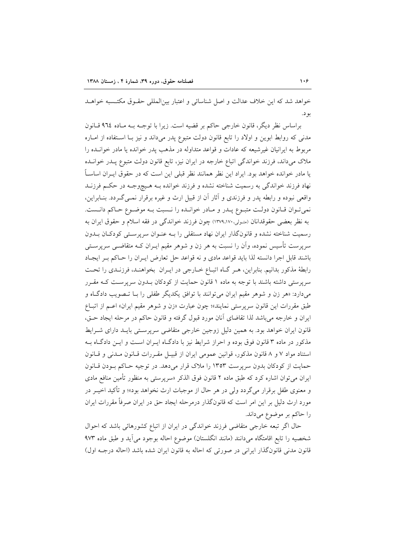خواهد شد که این خلاف عدالت و اصل شناسائی و اعتبار بینالمللی حقـوق مکتـسبه خواهـد بو د.

براساس نظر دیگر، قانون خارجی حاکم بر قضیه است. زیرا با توجـه بـه مـاده ۹٦٤ قـانون مدنی که روابط ابوین و اولاد را تابع قانون دولت متبوع پدر میداند و نیز بـا اسـتفاده از امـاره مربوط به ايرانيان غيرشيعه كه عادات و قواعد متداوله در مذهب يدر خوانده يا مادر خوانـده را ملاک میداند، فرزند خواندگی اتباع خارجه در ایران نیز، تابع قانون دولت متبوع پـدر خوانـده یا مادر خوانده خواهد بود. ایراد این نظر همانند نظر قبلی این است که در حقوق ایــران اساســاً نهاد فرزند خواندگی به رسمیت شناخته نشده و فرزند خوانده بـه هـیچوجـه در حکـم فرزنــد واقعی نبوده و رابطه پدر و فرزندی و آثار آن از قبیل ارث و غیره برقرار نمــیگــردد. بنــابراین، نمي تـوان قـانون دولـت متبـوع پــدر و مـادر خوانــده را نــسبت بــه موضــوع حـاكم دانــست. به نظر بعضي حقوقدانان (متـولي،١٣٧٩،١٧٠) چون فرزند خواندگي در فقه اسلام و حقوق ايران به رسمیت شناخته نشده و قانونگذار ایران نهاد مستقلی را بـه عنـوان سرپرسـتـی کودکـان بـدون سرپرست تأسیس نموده، واَن را نسبت به هر زن و شوهر مقیم ایــران کــه متقاضــی سرپرســتـی باشند قابل اجرا دانسته لذا بايد قواعد مادى و نه قواعد حل تعارض ايـران را حـاكم بـر ايجـاد رابطهٔ مذکور بدانیم. بنابراین، هـر گـاه اتبـاع خـارجی در ایـران بخواهنـد، فرزنـدی را تحـت سرپرستی داشته باشند با توجه به ماده ۱ قانون حمایت از کودکان بـدون سرپرسـت کـه مقـرر میدارد: «هر زن و شوهر مقیم ایران می توانند با توافق یکدیگر طفلی را بـا تـصویب دادگـاه و طبق مقررات این قانون سرپرستی نمایند»؛ چون عبارت «زن و شوهر مقیم ایران» اعــم از اتبــاع ایران و خارجه می باشد لذا تقاضای آنان مورد قبول گرفته و قانون حاکم در مرحله ایجاد حـق، قانون ایران خواهد بود. به همین دلیل زوجین خارجی متقاضی سرپرسـتی بایــد دارای شــرایط مذکور در ماده ۳ قانون فوق بوده و احراز شرایط نیز با دادگـاه ایـران اسـت و ایـن دادگـاه بـه استناد مواد ۷ و ۸ قانون مذکور، قوانین عمومی ایران از قبیـل مقـررات قـانون مـدنی و قـانون حمایت از کودکان بدون سرپرست ۱۳۵۳ را ملاک قرار میدهد. در توجیه حـاکم بـودن قـانون ایران می توان اشاره کرد که طبق ماده ۲ قانون فوق الذکر «سرپرستی به منظور تأمین منافع مادی و معنوی طفل برقرار میگردد ولی در هر حال از موجبات ارث نخواهد بود»؛ و تأکید اخیــر در مورد ارث دلیل بر این امر است که قانونگذار درمرحله ایجاد حق در ایران صرفاً مقررات ایران را حاكم بر موضوع مى داند.

حال اگر تبعه خارجی متقاضی فرزند خواندگی در ایران از اتباع کشورهائی باشد که احوال شخصيه را تابع اقامتگاه مىدانند (مانند انگلستان) موضوع احاله بوجود مى آيد و طبق ماده ٩٧٣ قانون مدنی قانونگذار ایرانی در صورتی که احاله به قانون ایران شده باشد (احاله درجـه اول)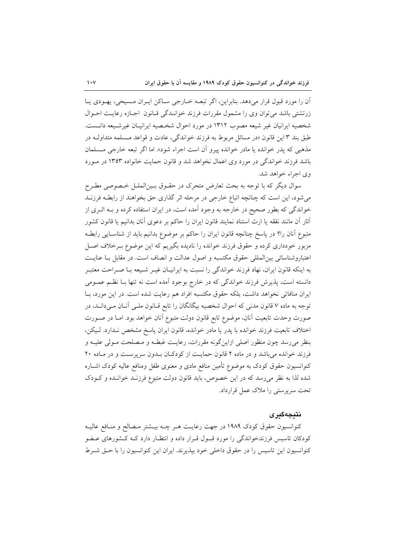آن را مورد قبول قرار میدهد. بنابراین، اگر تبعـه خــارجی ســاکن ایــران مــسیحی، یهــودی یــا زرتشتی باشد می توان وی را مشمول مقررات فرزند خوانیدگی قیانون اجبازه رعایت احبوال شخصيه ايرانيان غير شيعه مصوب ١٣١٢ در مورد احوال شخصيه ايرانيـان غيرشـيعه دانـست. طبق بند ۳ این قانون «در مسائل مربوط به فرزند خواندگی، عادت و قواعد مـسلمه متداولــه در مذهبي كه يدر خوانده يا مادر خوانده پيرو أن است اجراء شود». اما اگر تبعه خارجي مـسلمان باشد فرزند خواندگی در مورد وی اعمال نخواهد شد و قانون حمایت خانواده ۱۳۵۳ در مـورد وي اجراءِ خواهد شد.

سوال دیگر که با توجه به بحث تعارض متحرک در حقـوق بـینالملـل خـصوصى مطـرح می شود، این است که چنانچه اتباع خارجی در مرحله اثر گذاری حق بخواهند از رابطـه فرزنــد خواندگی که بطور صحیح در خارجه به وجود آمده است، در ایران استفاده کرده و بـه اثـری از أثار أن مانند نفقه يا ارث استناد نمايند قانون ايران را حاكم بر دعوى أنان بدانيم يا قانون كشور متبوع أنان را؟ در پاسخ چنانچه قانون ایران را حاکم بر موضوع بدانیم باید از شناسـایی رابطـه مزبور خودداری کرده و حقوق فرزند خوانده را نادیده بگیریم که این موضوع بـرخلاف اصـل اعتباروشناسائی بین المللی حقوق مکتسبه و اصول عدالت و انصاف است. در مقابل بـا عنایـت به اینکه قانون ایران، نهاد فرزند خواندگی را نسبت به ایرانیـان غیـر شـیعه بـا صـراحت معتبـر دانسته است، پذیرش فرزند خواندگی که در خارج بوجود آمده است نه تنها بـا نظـم عمــومی ایران منافاتی نخواهد داشت، بلکه حقوق مکتسبه افراد هم رعایت شده است. در این مورد، بـا توجه به ماده ۷ قانون مدنی که احوال شخصیه بیگانگان را تابع قـانون ملـی آنـان مـیدانـد، در صورت وحدت تابعیت آنان، موضوع تابع قانون دولت متبوع آنان خواهد بود. امـا در صـورت اختلاف تابعيت فرزند خوانده با پدر يا مادر خوانده، قانون ايران پاسخ مشخص نـدارد. لـيكن، بنظر می رسد چون منظور اصلی ازاین گونه مقررات، رعایت غبطـه و مـصلحت مـولی علیـه و فرزند خوانده می باشد و در ماده ۲ قانون حمایت از کودکان بلدون سرپرست و در ماده ۲۰ کنوانسیون حقوق کودک به موضوع تأمین منافع مادی و معنوی طفل ومنافع عالیه کودک اشــاره شده لذا به نظر می رسد که در این خصوص، باید قانون دولت متبوع فرزنـد خوانـده و کـودک تحت سربرستی را ملاک عمل قرارداد.

## نتىجەگىرى

کنوانسیون حقوق کودک ۱۹۸۹ در جهت رعایـت هـر چـه بیــشتر مــصالح و منــافع عالیــه کودکان تاسیس فرزندخواندگی را مورد قبـول قـرار داده و انتظـار دارد کـه کـشورهای عـضو کنوانسیون این تاسیس را در حقوق داخلی خود بیذیرند. ایران این کنوانسیون را با حــق شــرط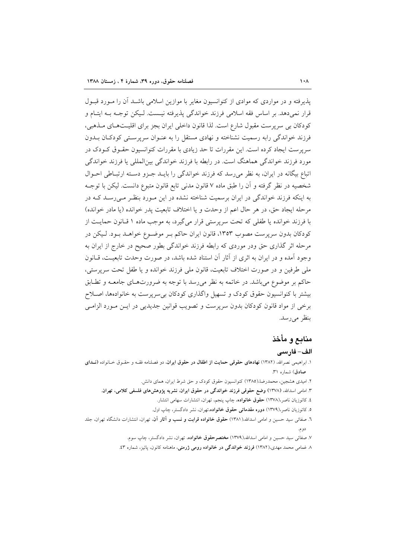یذیرفته و در مواردی که موادی از کنوانسیون مغایر با موازین اسلامی باشـد آن را مـورد قبـول قرار نمي دهد. بر اساس فقه اسلامي فرزند خواندگي پذيرفته نيــست. لـيكن توجــه بــه ايتــام و کودکان بی سرپرست مقبول شارع است. لذا قانون داخلی ایران بجز برای اقلیتهای مـذهبی، فرزند خواندگی رابه رسمیت نشناخته و نهادی مستقل را به عنـوان سرپرسـتی کودکـان بــدون سرپرست ایجاد کرده است. این مقررات تا حد زیادی با مقررات کنوانسیون حقـوق کـودک در مورد فرزند خواندگی هماهنگ است. در رابطه با فرزند خواندگی بینالمللی یا فرزند خواندگی اتباع بیگانه در ایران، به نظر می رسد که فرزند خواندگی را بایـد جـزو دسـته ارتبـاطی احـوال شخصيه در نظر گرفته و آن را طبق ماده ۷ قانون مدنى تابع قانون متبوع دانست. ليكن با توجـه به اینکه فرزند خواندگی در ایران برسمیت شناخته نشده در این مـورد بنظـر مـیرسـد کـه در مرحله ايجاد حق، در هر حال اعم از وحدت و يا اختلاف تابعيت يدر خوانده (يا مادر خوانده) با فرزند خوانده یا طفلی که تحت سرپرستی قرار میگیرد، به موجب ماده ۱ قبانون حمایت از کودکان بدون سرپرست مصوب ۱۳۵۳، قانون ایران حاکم بـر موضـوع خواهـد بـود. لـیکن در مرحله اثر گذاری حق ودر موردی که رابطه فرزند خواندگی بطور صحیح در خارج از ایران به وجود آمده و در ایران به اثری از آثار آن استناد شده باشد، در صورت وحدت تابعیـت، قــانون ملي طرفين و در صورت اختلاف تابعيت، قانون ملي فرزند خوانده و يا طفل تحت سرپرستي، حاکم بر موضوع میباشد. در خاتمه به نظر میرسد با توجه به ضرورتهای جامعـه و تطـابق بیشتر با کنوانسیون حقوق کودک و تسهیل واگذاری کودکان بی سرپرست به خانوادهها، اصلاح برخی از مواد قانون کودکان بدون سرپرست و تصویب قوانین جدیدیی در ایـن مـورد الزامـی بنظر می رسد.

# منابع و مأخذ

## الف- فارسى

- ١. ابراهیمی نصرالله، (١٣٨٢) نهادهای حقوقی حمایت از اطفال در حقوق ایران، دو فصلنامه فقـه و حقـوق خـانواده (نــدای صادق) شماره ٣١.
	- ۲. امیدی هشجین، محمدرضا،(۱۳۸۵) کنوانسیون حقوق کودک و حق شرط ایران، همای دانش.
	- ۳. امامی اسدالله، (۱۳۷۸) وضع حقوقی فرزند خواندگی در حقوق ایران، نشریه پژوهشهای فلسفی کلامی، تهران.
		- ٤. كاتوزيان ناصر،(١٣٧٨) حقوق خانواده. چاپ پنجم، تهران، انتشارات سهامي انتشار.
		- ه. کاتوزیان ناصر،(۱۳۷۹) **دوره مقدماتی حقوق خانواده**،تهران، نشر دادگستر، چاپ اول.
- ٦. صفائ<sub>ی</sub> سید حسین و امامی اسدالله،(١٣٨١) **حقوق خانواده قرابت و نسب و آثار آن**، تهران، انتشارات دانشگاه تهران، جلد دو م.
	- ۷. صفائ<sub>ی</sub> سید حسین و امامی اسدالله،(۱۳۷۹) م**ختصرحقوق خانواده**، تهران، نشر دادگستر، چاپ سوم.
	- ۸ غمامی محمد مهدی،(۱۳۸۲) فرزند خواندگی در خانواده رومی ژرمنی، ماهنامه کانون، پائیز، شماره ۴٪.